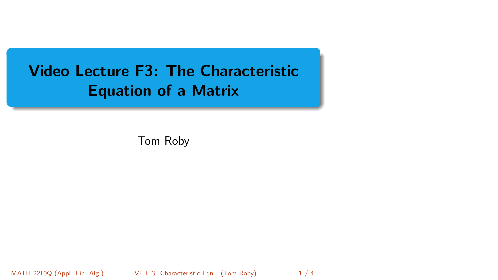# <span id="page-0-0"></span>Video Lecture F3: The Characteristic Equation of a Matrix

Tom Roby

MATH 2210Q (Appl. Lin. Alg.) [VL F-3: Characteristic Eqn.](#page-3-0) (Tom Roby) 1/4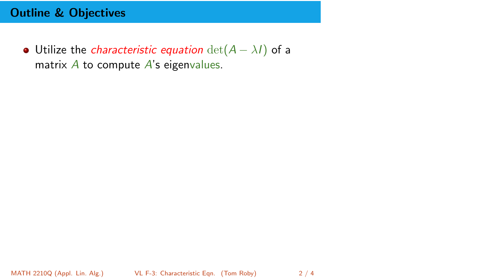## Outline & Objectives

• Utilize the *characteristic equation*  $det(A - \lambda I)$  of a matrix  $\overline{A}$  to compute  $\overline{A}$ 's eigenvalues.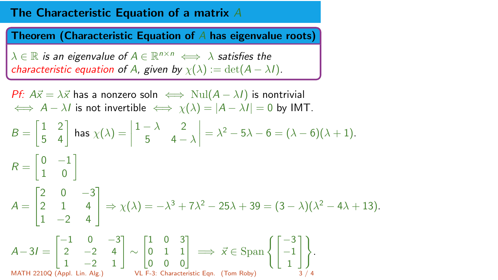### The Characteristic Equation of a matrix A

Theorem (Characteristic Equation of  $A$  has eigenvalue roots)

 $\lambda \in \mathbb{R}$  is an eigenvalue of  $A \in \mathbb{R}^{n \times n} \iff \lambda$  satisfies the characteristic equation of A, given by  $\chi(\lambda) := \det(A - \lambda I)$ .

*Pf:*  $A\vec{x} = \lambda \vec{x}$  has a nonzero soln  $\iff$  Nul $(A - \lambda I)$  is nontrivial  $\iff$  A –  $\lambda I$  is not invertible  $\iff$   $\chi(\lambda) = |A - \lambda I| = 0$  by IMT.  $B = \begin{bmatrix} 1 & 2 \\ 5 & 4 \end{bmatrix}$ 5 4  $\Big]$  has  $\chi(\lambda) =$  $1 - \lambda$  2 5 4  $- \lambda$  $= \lambda^2 - 5\lambda - 6 = (\lambda - 6)(\lambda + 1).$  $R = \begin{bmatrix} 0 & -1 \\ 1 & 0 \end{bmatrix}$ 1 0 1  $A =$ Г  $\mathbf{I}$  $2 \t 0 \t -3$ 2 1 4  $1 -2 4$ 1  $\Rightarrow$   $\chi(\lambda) = -\lambda^3 + 7\lambda^2 - 25\lambda + 39 = (3 - \lambda)(\lambda^2 - 4\lambda + 13).$  $A-3I =$  $\begin{bmatrix} -1 & 0 & -3 \end{bmatrix}$ 2  $-2$  4  $1 -2 1$ 1 ∼  $\begin{bmatrix} 1 & 0 & 3 \end{bmatrix}$ 0 1 1 0 0 0  $\Big] \implies \vec{x} \in \text{Span} \left\{ \Big[ \begin{matrix} -3 \\ -1 \end{matrix} \Big]$ 1  $\big]$ MATH 2210Q (Appl. Lin. Alg.) [VL F-3: Characteristic Eqn.](#page-0-0) (Tom Roby)